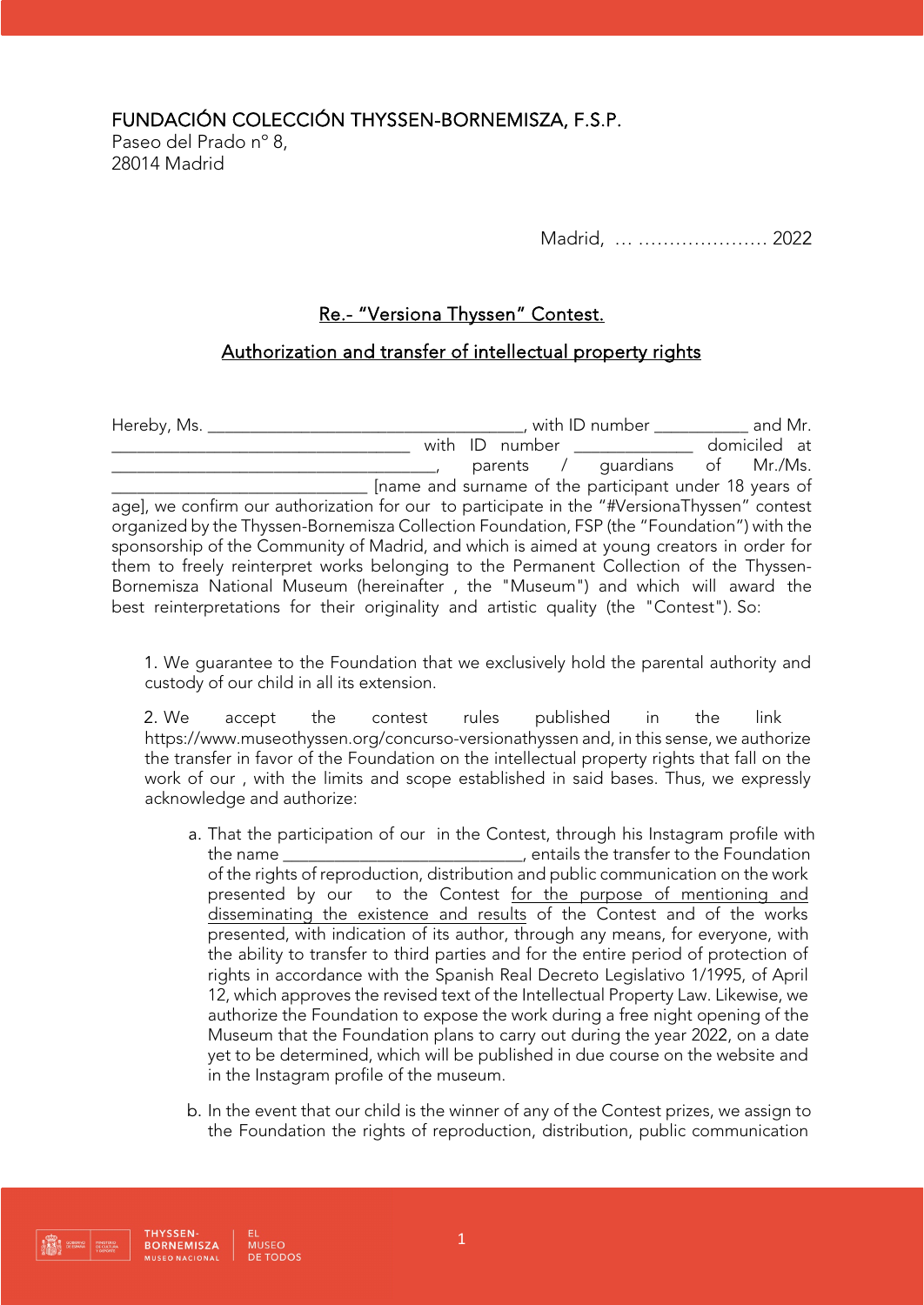FUNDACIÓN COLECCIÓN THYSSEN-BORNEMISZA, F.S.P.

Paseo del Prado nº 8, 28014 Madrid

Madrid, … ………………… 2022

## Re.- "Versiona Thyssen" Contest.

## Authorization and transfer of intellectual property rights

Hereby, Ms. \_\_\_\_\_\_\_\_\_\_\_\_\_\_\_\_\_\_\_\_\_\_\_\_\_\_\_\_\_\_\_\_\_\_\_\_\_, with ID number \_\_\_\_\_\_\_\_\_\_\_ and Mr. \_\_\_\_\_\_\_\_\_\_\_\_\_\_\_\_\_\_\_\_\_\_\_\_\_\_\_\_\_\_\_\_\_\_\_ with ID number \_\_\_\_\_\_\_\_\_\_\_\_\_\_ domiciled at  $\mu$  parents / guardians of Mr./Ms. \_\_\_\_\_\_\_\_\_\_\_\_\_\_\_\_\_\_\_\_\_\_\_\_\_\_\_\_\_\_ [name and surname of the participant under 18 years of age], we confirm our authorization for our to participate in the "#VersionaThyssen" contest organized by the Thyssen-Bornemisza Collection Foundation, FSP (the "Foundation") with the sponsorship of the Community of Madrid, and which is aimed at young creators in order for them to freely reinterpret works belonging to the Permanent Collection of the Thyssen-Bornemisza National Museum (hereinafter , the "Museum") and which will award the best reinterpretations for their originality and artistic quality (the "Contest"). So:

1. We guarantee to the Foundation that we exclusively hold the parental authority and custody of our child in all its extension.

2. We accept the contest rules published in the link https://www.museothyssen.org/concurso-versionathyssen and, in this sense, we authorize the transfer in favor of the Foundation on the intellectual property rights that fall on the work of our , with the limits and scope established in said bases. Thus, we expressly acknowledge and authorize:

- a. That the participation of our in the Contest, through his Instagram profile with the name \_\_\_\_\_\_\_\_\_\_\_\_\_\_\_\_\_\_\_\_\_\_\_\_\_\_\_\_, entails the transfer to the Foundation of the rights of reproduction, distribution and public communication on the work presented by our to the Contest for the purpose of mentioning and disseminating the existence and results of the Contest and of the works presented, with indication of its author, through any means, for everyone, with the ability to transfer to third parties and for the entire period of protection of rights in accordance with the Spanish Real Decreto Legislativo 1/1995, of April 12, which approves the revised text of the Intellectual Property Law. Likewise, we authorize the Foundation to expose the work during a free night opening of the Museum that the Foundation plans to carry out during the year 2022, on a date yet to be determined, which will be published in due course on the website and in the Instagram profile of the museum.
- b. In the event that our child is the winner of any of the Contest prizes, we assign to the Foundation the rights of reproduction, distribution, public communication

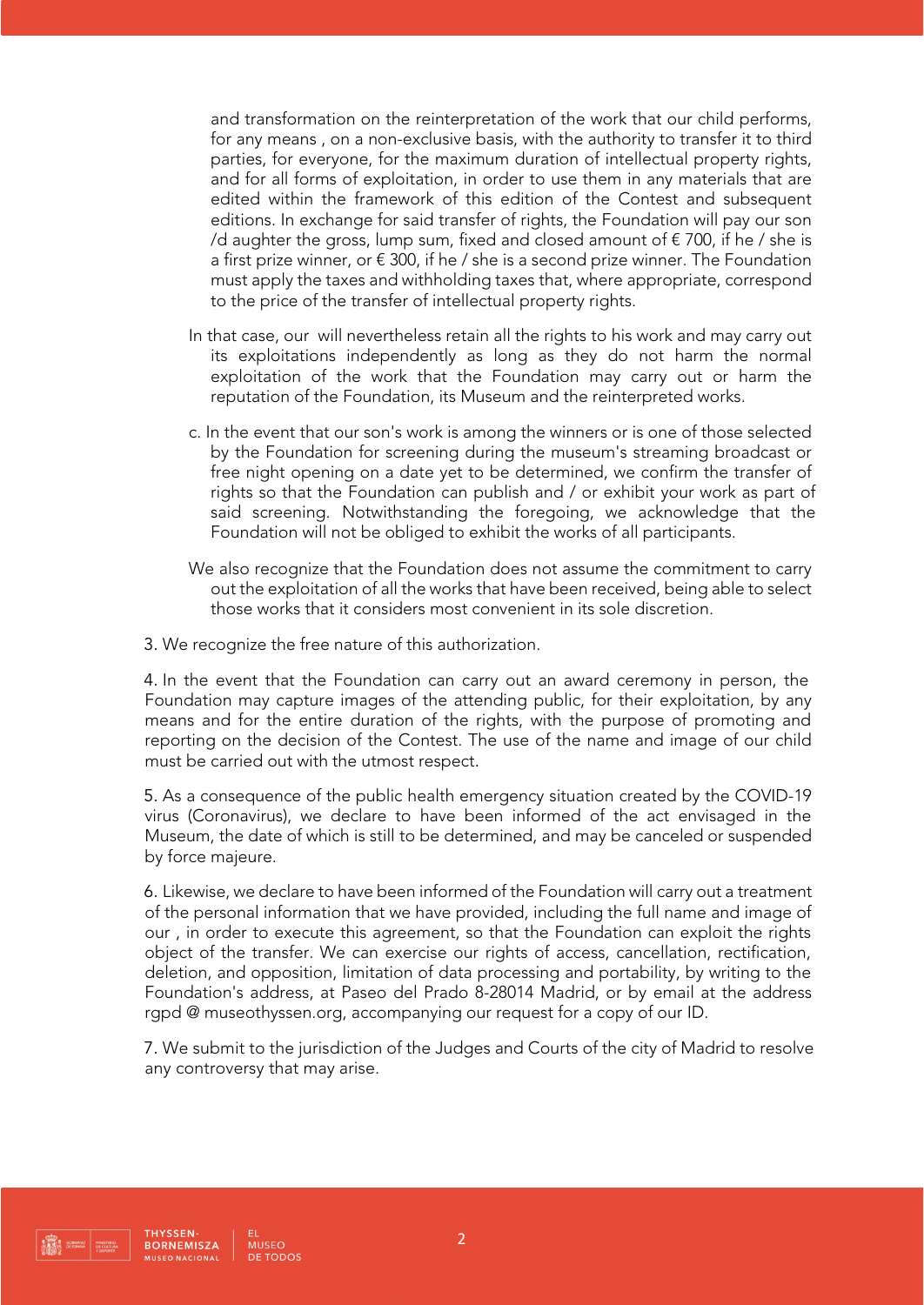and transformation on the reinterpretation of the work that our child performs, for any means , on a non-exclusive basis, with the authority to transfer it to third parties, for everyone, for the maximum duration of intellectual property rights, and for all forms of exploitation, in order to use them in any materials that are edited within the framework of this edition of the Contest and subsequent editions. In exchange for said transfer of rights, the Foundation will pay our son /d aughter the gross, lump sum, fixed and closed amount of  $\epsilon$  700, if he / she is a first prize winner, or  $\epsilon$  300, if he / she is a second prize winner. The Foundation must apply the taxes and withholding taxes that, where appropriate, correspond to the price of the transfer of intellectual property rights.

- In that case, our will nevertheless retain all the rights to his work and may carry out its exploitations independently as long as they do not harm the normal exploitation of the work that the Foundation may carry out or harm the reputation of the Foundation, its Museum and the reinterpreted works.
- c. In the event that our son's work is among the winners or is one of those selected by the Foundation for screening during the museum's streaming broadcast or free night opening on a date yet to be determined, we confirm the transfer of rights so that the Foundation can publish and / or exhibit your work as part of said screening. Notwithstanding the foregoing, we acknowledge that the Foundation will not be obliged to exhibit the works of all participants.
- We also recognize that the Foundation does not assume the commitment to carry out the exploitation of all the works that have been received, being able to select those works that it considers most convenient in its sole discretion.
- 3. We recognize the free nature of this authorization.

4. In the event that the Foundation can carry out an award ceremony in person, the Foundation may capture images of the attending public, for their exploitation, by any means and for the entire duration of the rights, with the purpose of promoting and reporting on the decision of the Contest. The use of the name and image of our child must be carried out with the utmost respect.

5. As a consequence of the public health emergency situation created by the COVID-19 virus (Coronavirus), we declare to have been informed of the act envisaged in the Museum, the date of which is still to be determined, and may be canceled or suspended by force majeure.

6. Likewise, we declare to have been informed of the Foundation will carry out a treatment of the personal information that we have provided, including the full name and image of our , in order to execute this agreement, so that the Foundation can exploit the rights object of the transfer. We can exercise our rights of access, cancellation, rectification, deletion, and opposition, limitation of data processing and portability, by writing to the Foundation's address, at Paseo del Prado 8-28014 Madrid, or by email at the address rgpd @ museothyssen.org, accompanying our request for a copy of our ID.

7. We submit to the jurisdiction of the Judges and Courts of the city of Madrid to resolve any controversy that may arise.